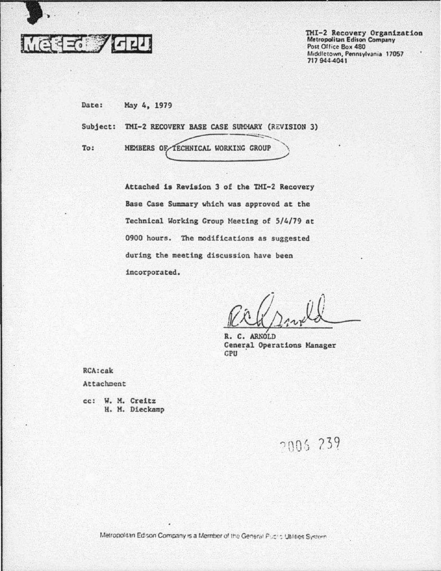

TMI-2 Recovery Organization<br>Metropolitan Edison Company Post Office Box 480 Middletown, Pennsylvania 17057 717 944-4041

Date: Hay 4, 1979

Subject: TMI-2 RECOVERY BASE CASE SUMMARY (REVISION 3)

To:

........... -..::-...,\

Attached is Revision 3 of the THI-2 Recovery Base Case Summary which was approved at the Technical Working Group Meeting of 5/4/79 at 0900 hours. The modifications as suggested during the meeting discussion have been incorporated.

 $R$ r (smld

R. C. ARNOLD Ceneral Operations Manager CPU •

RCA:cak

Attachment

cc: w. M. Creitz H. H. Dieckamp

2005 239

Metropolitan Edison Company is a Member of the General Public Utilities System